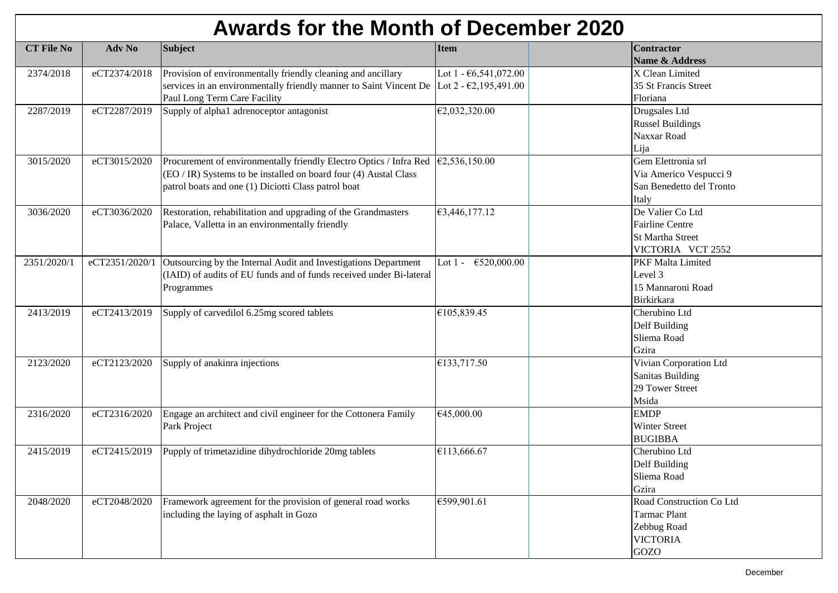## **Awards for the Month of December 2020**

| <b>CT File No</b> | Adv No         | <b>Subject</b>                                                                                     | <b>Item</b>              | <b>Contractor</b>            |
|-------------------|----------------|----------------------------------------------------------------------------------------------------|--------------------------|------------------------------|
|                   |                |                                                                                                    |                          | Name & Address               |
| 2374/2018         | eCT2374/2018   | Provision of environmentally friendly cleaning and ancillary                                       | Lot 1 - €6,541,072.00    | $\overline{X}$ Clean Limited |
|                   |                | services in an environmentally friendly manner to Saint Vincent De Lot 2 - $\epsilon$ 2,195,491.00 |                          | 35 St Francis Street         |
|                   |                | Paul Long Term Care Facility                                                                       |                          | Floriana                     |
| 2287/2019         | eCT2287/2019   | Supply of alpha1 adrenoceptor antagonist                                                           | €2,032,320.00            | Drugsales Ltd                |
|                   |                |                                                                                                    |                          | <b>Russel Buildings</b>      |
|                   |                |                                                                                                    |                          | Naxxar Road                  |
|                   |                |                                                                                                    |                          | Lija                         |
| 3015/2020         | eCT3015/2020   | Procurement of environmentally friendly Electro Optics / Infra Red                                 | €2,536,150.00            | Gem Elettronia srl           |
|                   |                | (EO / IR) Systems to be installed on board four (4) Austal Class                                   |                          | Via Americo Vespucci 9       |
|                   |                | patrol boats and one (1) Diciotti Class patrol boat                                                |                          | San Benedetto del Tronto     |
|                   |                |                                                                                                    |                          | Italy                        |
| 3036/2020         | eCT3036/2020   | Restoration, rehabilitation and upgrading of the Grandmasters                                      | €3,446,177.12            | De Valier Co Ltd             |
|                   |                | Palace, Valletta in an environmentally friendly                                                    |                          | <b>Fairline Centre</b>       |
|                   |                |                                                                                                    |                          | <b>St Martha Street</b>      |
|                   |                |                                                                                                    |                          | VICTORIA VCT 2552            |
| 2351/2020/1       | eCT2351/2020/1 | Outsourcing by the Internal Audit and Investigations Department                                    | Lot $1 -$<br>€520,000.00 | <b>PKF Malta Limited</b>     |
|                   |                | (IAID) of audits of EU funds and of funds received under Bi-lateral                                |                          | Level 3                      |
|                   |                | Programmes                                                                                         |                          | 15 Mannaroni Road            |
|                   |                |                                                                                                    |                          | <b>Birkirkara</b>            |
| 2413/2019         | eCT2413/2019   | Supply of carvedilol 6.25mg scored tablets                                                         | €105,839.45              | Cherubino Ltd                |
|                   |                |                                                                                                    |                          | Delf Building                |
|                   |                |                                                                                                    |                          | Sliema Road                  |
|                   |                |                                                                                                    |                          | Gzira                        |
| 2123/2020         | eCT2123/2020   | Supply of anakinra injections                                                                      | €133,717.50              | Vivian Corporation Ltd       |
|                   |                |                                                                                                    |                          | <b>Sanitas Building</b>      |
|                   |                |                                                                                                    |                          | 29 Tower Street              |
|                   |                |                                                                                                    |                          | Msida                        |
| 2316/2020         | eCT2316/2020   | Engage an architect and civil engineer for the Cottonera Family                                    | €45,000.00               | <b>EMDP</b>                  |
|                   |                | Park Project                                                                                       |                          | Winter Street                |
|                   |                |                                                                                                    |                          | <b>BUGIBBA</b>               |
| 2415/2019         | eCT2415/2019   | Pupply of trimetazidine dihydrochloride 20mg tablets                                               | €113,666.67              | Cherubino Ltd                |
|                   |                |                                                                                                    |                          | Delf Building                |
|                   |                |                                                                                                    |                          | Sliema Road                  |
|                   |                |                                                                                                    |                          | Gzira                        |
| 2048/2020         | eCT2048/2020   | Framework agreement for the provision of general road works                                        | €599,901.61              | Road Construction Co Ltd     |
|                   |                | including the laying of asphalt in Gozo                                                            |                          | <b>Tarmac Plant</b>          |
|                   |                |                                                                                                    |                          | Zebbug Road                  |
|                   |                |                                                                                                    |                          | <b>VICTORIA</b>              |
|                   |                |                                                                                                    |                          | GOZO                         |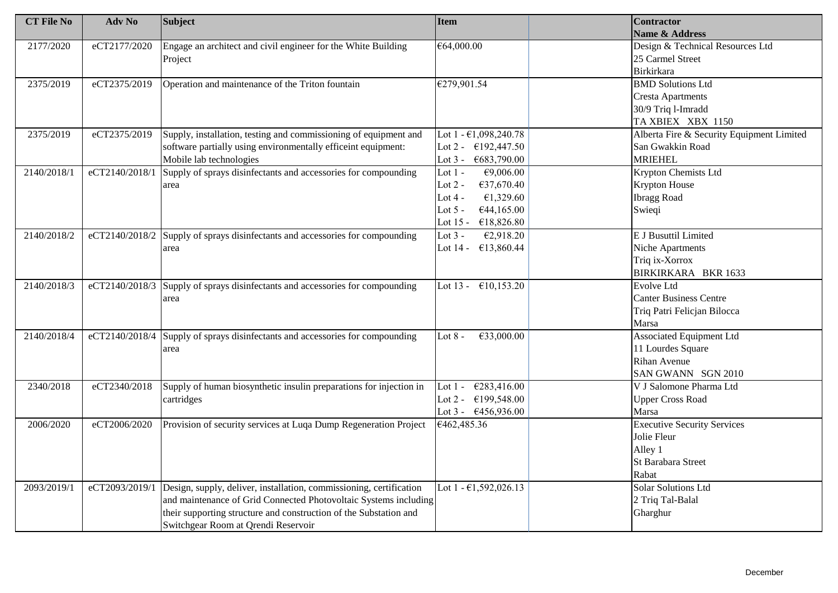| <b>CT File No</b> | Adv No         | <b>Subject</b>                                                                  | <b>Item</b>                     | <b>Contractor</b>                         |
|-------------------|----------------|---------------------------------------------------------------------------------|---------------------------------|-------------------------------------------|
|                   |                |                                                                                 |                                 | Name & Address                            |
| 2177/2020         | eCT2177/2020   | Engage an architect and civil engineer for the White Building                   | €64,000.00                      | Design & Technical Resources Ltd          |
|                   |                | Project                                                                         |                                 | 25 Carmel Street                          |
|                   |                |                                                                                 |                                 | <b>Birkirkara</b>                         |
| 2375/2019         | eCT2375/2019   | Operation and maintenance of the Triton fountain                                | €279,901.54                     | <b>BMD Solutions Ltd</b>                  |
|                   |                |                                                                                 |                                 | <b>Cresta Apartments</b>                  |
|                   |                |                                                                                 |                                 | 30/9 Triq l-Imradd                        |
|                   |                |                                                                                 |                                 | TA XBIEX XBX 1150                         |
| 2375/2019         | eCT2375/2019   | Supply, installation, testing and commissioning of equipment and                | Lot $1 - \epsilon 1,098,240.78$ | Alberta Fire & Security Equipment Limited |
|                   |                | software partially using environmentally efficeint equipment:                   | Lot 2 - $\epsilon$ 192,447.50   | San Gwakkin Road                          |
|                   |                | Mobile lab technologies                                                         | €683,790.00<br>Lot $3 -$        | <b>MRIEHEL</b>                            |
| 2140/2018/1       | eCT2140/2018/1 | Supply of sprays disinfectants and accessories for compounding                  | Lot $1 -$<br>€9,006.00          | Krypton Chemists Ltd                      |
|                   |                | area                                                                            | Lot $2 -$<br>€37,670.40         | <b>Krypton House</b>                      |
|                   |                |                                                                                 | Lot $4 -$<br>€1,329.60          | <b>Ibragg Road</b>                        |
|                   |                |                                                                                 | Lot $5 -$<br>€44,165.00         | Swieqi                                    |
|                   |                |                                                                                 | Lot 15 - €18,826.80             |                                           |
| 2140/2018/2       |                | $eCT2140/2018/2$ Supply of sprays disinfectants and accessories for compounding | Lot $3 -$<br>£2,918.20          | <b>E J Busuttil Limited</b>               |
|                   |                | area                                                                            | Lot 14 - €13,860.44             | <b>Niche Apartments</b>                   |
|                   |                |                                                                                 |                                 | Triq ix-Xorrox                            |
|                   |                |                                                                                 |                                 | BIRKIRKARA BKR 1633                       |
| 2140/2018/3       | eCT2140/2018/3 | Supply of sprays disinfectants and accessories for compounding                  | Lot 13 - $\epsilon$ 10,153.20   | Evolve Ltd                                |
|                   |                | area                                                                            |                                 | <b>Canter Business Centre</b>             |
|                   |                |                                                                                 |                                 | Triq Patri Felicjan Bilocca               |
|                   |                |                                                                                 |                                 | Marsa                                     |
| 2140/2018/4       | eCT2140/2018/4 | Supply of sprays disinfectants and accessories for compounding                  | Lot $8 -$<br>€33,000.00         | <b>Associated Equipment Ltd</b>           |
|                   |                | area                                                                            |                                 | 11 Lourdes Square                         |
|                   |                |                                                                                 |                                 | <b>Rihan Avenue</b>                       |
|                   |                |                                                                                 |                                 | SAN GWANN SGN 2010                        |
| 2340/2018         | eCT2340/2018   | Supply of human biosynthetic insulin preparations for injection in              | €283,416.00<br>Lot $1 -$        | V J Salomone Pharma Ltd                   |
|                   |                | cartridges                                                                      | Lot 2 - $\epsilon$ 199,548.00   | <b>Upper Cross Road</b>                   |
|                   |                |                                                                                 | Lot $3 - 6456,936.00$           | Marsa                                     |
| 2006/2020         | eCT2006/2020   | Provision of security services at Luqa Dump Regeneration Project                | €462,485.36                     | <b>Executive Security Services</b>        |
|                   |                |                                                                                 |                                 | Jolie Fleur                               |
|                   |                |                                                                                 |                                 | Alley 1                                   |
|                   |                |                                                                                 |                                 | <b>St Barabara Street</b>                 |
|                   |                |                                                                                 |                                 | Rabat                                     |
| 2093/2019/1       | eCT2093/2019/1 | Design, supply, deliver, installation, commissioning, certification             | Lot $1 - \epsilon 1,592,026.13$ | Solar Solutions Ltd                       |
|                   |                | and maintenance of Grid Connected Photovoltaic Systems including                |                                 | 2 Triq Tal-Balal                          |
|                   |                | their supporting structure and construction of the Substation and               |                                 | Gharghur                                  |
|                   |                | Switchgear Room at Qrendi Reservoir                                             |                                 |                                           |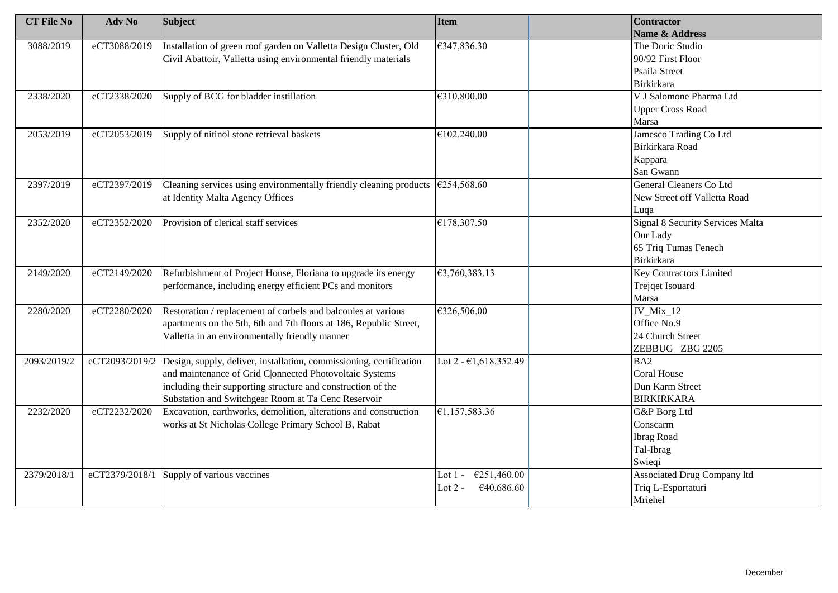| <b>CT File No</b> | Adv No       | <b>Subject</b>                                                                                          | Item                                         | <b>Contractor</b>                       |
|-------------------|--------------|---------------------------------------------------------------------------------------------------------|----------------------------------------------|-----------------------------------------|
|                   |              |                                                                                                         |                                              | Name & Address                          |
| 3088/2019         | eCT3088/2019 | Installation of green roof garden on Valletta Design Cluster, Old                                       | €347,836.30                                  | The Doric Studio                        |
|                   |              | Civil Abattoir, Valletta using environmental friendly materials                                         |                                              | 90/92 First Floor                       |
|                   |              |                                                                                                         |                                              | Psaila Street                           |
|                   |              |                                                                                                         |                                              | <b>Birkirkara</b>                       |
| 2338/2020         | eCT2338/2020 | Supply of BCG for bladder instillation                                                                  | €310,800.00                                  | V J Salomone Pharma Ltd                 |
|                   |              |                                                                                                         |                                              | <b>Upper Cross Road</b>                 |
|                   |              |                                                                                                         |                                              | Marsa                                   |
| 2053/2019         | eCT2053/2019 | Supply of nitinol stone retrieval baskets                                                               | €102,240.00                                  | Jamesco Trading Co Ltd                  |
|                   |              |                                                                                                         |                                              | Birkirkara Road                         |
|                   |              |                                                                                                         |                                              | Kappara                                 |
|                   |              |                                                                                                         |                                              | San Gwann                               |
| 2397/2019         | eCT2397/2019 | Cleaning services using environmentally friendly cleaning products $\left  \epsilon \right $ 254,568.60 |                                              | General Cleaners Co Ltd                 |
|                   |              | at Identity Malta Agency Offices                                                                        |                                              | New Street off Valletta Road            |
|                   |              |                                                                                                         |                                              | Luqa                                    |
| 2352/2020         | eCT2352/2020 | Provision of clerical staff services                                                                    | €178,307.50                                  | <b>Signal 8 Security Services Malta</b> |
|                   |              |                                                                                                         |                                              | Our Lady                                |
|                   |              |                                                                                                         |                                              | 65 Triq Tumas Fenech                    |
|                   |              |                                                                                                         |                                              | <b>Birkirkara</b>                       |
| 2149/2020         | eCT2149/2020 | Refurbishment of Project House, Floriana to upgrade its energy                                          | €3,760,383.13                                | <b>Key Contractors Limited</b>          |
|                   |              | performance, including energy efficient PCs and monitors                                                |                                              | Trejqet Isouard                         |
|                   |              |                                                                                                         |                                              | Marsa                                   |
| 2280/2020         | eCT2280/2020 | Restoration / replacement of corbels and balconies at various                                           | €326,506.00                                  | JV_Mix_12                               |
|                   |              | apartments on the 5th, 6th and 7th floors at 186, Republic Street,                                      |                                              | Office No.9                             |
|                   |              | Valletta in an environmentally friendly manner                                                          |                                              | 24 Church Street                        |
|                   |              |                                                                                                         |                                              | ZEBBUG ZBG 2205                         |
| 2093/2019/2       |              | eCT2093/2019/2 Design, supply, deliver, installation, commissioning, certification                      | Lot 2 - $\epsilon$ 1,618,352.49              | BA2                                     |
|                   |              | and maintenance of Grid C onnected Photovoltaic Systems                                                 |                                              | <b>Coral House</b>                      |
|                   |              | including their supporting structure and construction of the                                            |                                              | Dun Karm Street                         |
|                   |              | Substation and Switchgear Room at Ta Cenc Reservoir                                                     |                                              | <b>BIRKIRKARA</b>                       |
| 2232/2020         | eCT2232/2020 | Excavation, earthworks, demolition, alterations and construction                                        | £1,157,583.36                                | G&P Borg Ltd                            |
|                   |              | works at St Nicholas College Primary School B, Rabat                                                    |                                              | Conscarm                                |
|                   |              |                                                                                                         |                                              | <b>Ibrag Road</b>                       |
|                   |              |                                                                                                         |                                              | Tal-Ibrag                               |
|                   |              |                                                                                                         |                                              | Swieqi                                  |
| 2379/2018/1       |              | eCT2379/2018/1 Supply of various vaccines                                                               | $\overline{\epsilon}251,460.00$<br>Lot $1 -$ | Associated Drug Company ltd             |
|                   |              |                                                                                                         | Lot $2 -$<br>€40,686.60                      | Triq L-Esportaturi                      |
|                   |              |                                                                                                         |                                              | Mriehel                                 |